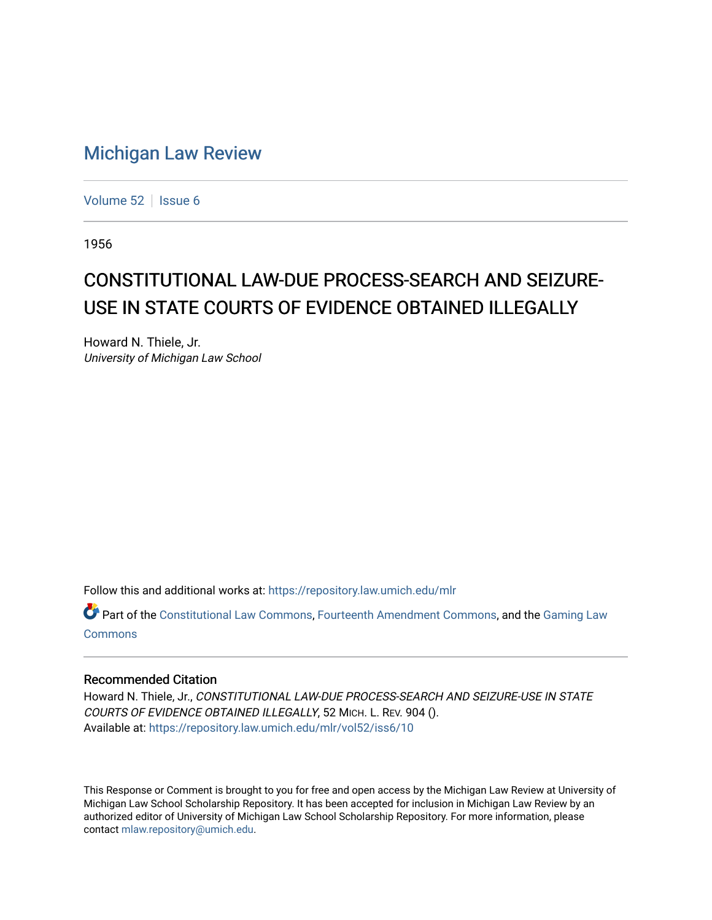## [Michigan Law Review](https://repository.law.umich.edu/mlr)

[Volume 52](https://repository.law.umich.edu/mlr/vol52) | [Issue 6](https://repository.law.umich.edu/mlr/vol52/iss6)

1956

## CONSTITUTIONAL LAW-DUE PROCESS-SEARCH AND SEIZURE-USE IN STATE COURTS OF EVIDENCE OBTAINED ILLEGALLY

Howard N. Thiele, Jr. University of Michigan Law School

Follow this and additional works at: [https://repository.law.umich.edu/mlr](https://repository.law.umich.edu/mlr?utm_source=repository.law.umich.edu%2Fmlr%2Fvol52%2Fiss6%2F10&utm_medium=PDF&utm_campaign=PDFCoverPages) 

Part of the [Constitutional Law Commons,](http://network.bepress.com/hgg/discipline/589?utm_source=repository.law.umich.edu%2Fmlr%2Fvol52%2Fiss6%2F10&utm_medium=PDF&utm_campaign=PDFCoverPages) [Fourteenth Amendment Commons](http://network.bepress.com/hgg/discipline/1116?utm_source=repository.law.umich.edu%2Fmlr%2Fvol52%2Fiss6%2F10&utm_medium=PDF&utm_campaign=PDFCoverPages), and the [Gaming Law](http://network.bepress.com/hgg/discipline/1117?utm_source=repository.law.umich.edu%2Fmlr%2Fvol52%2Fiss6%2F10&utm_medium=PDF&utm_campaign=PDFCoverPages)  [Commons](http://network.bepress.com/hgg/discipline/1117?utm_source=repository.law.umich.edu%2Fmlr%2Fvol52%2Fiss6%2F10&utm_medium=PDF&utm_campaign=PDFCoverPages)

## Recommended Citation

Howard N. Thiele, Jr., CONSTITUTIONAL LAW-DUE PROCESS-SEARCH AND SEIZURE-USE IN STATE COURTS OF EVIDENCE OBTAINED ILLEGALLY, 52 MICH. L. REV. 904 (). Available at: [https://repository.law.umich.edu/mlr/vol52/iss6/10](https://repository.law.umich.edu/mlr/vol52/iss6/10?utm_source=repository.law.umich.edu%2Fmlr%2Fvol52%2Fiss6%2F10&utm_medium=PDF&utm_campaign=PDFCoverPages) 

This Response or Comment is brought to you for free and open access by the Michigan Law Review at University of Michigan Law School Scholarship Repository. It has been accepted for inclusion in Michigan Law Review by an authorized editor of University of Michigan Law School Scholarship Repository. For more information, please contact [mlaw.repository@umich.edu](mailto:mlaw.repository@umich.edu).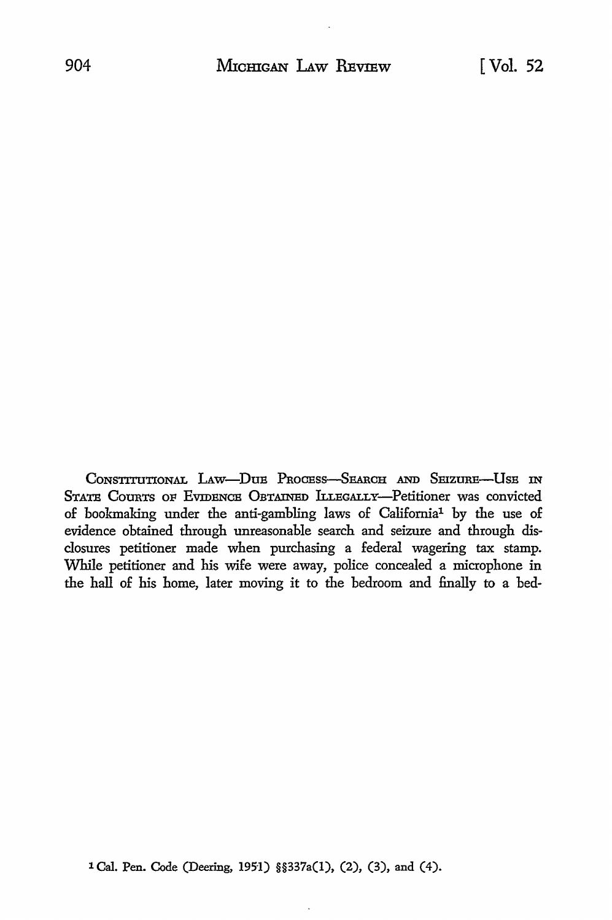CONSTITUTIONAL LAW-DUE PROCESS-SEARCH AND SEIZURE-USE IN STATE COURTS OF EVIDENCE OBTAINED ILLEGALLY-Petitioner was convicted of bookmaking under the anti-gambling laws of California1 by the use of evidence obtained through unreasonable search and seizure and through disclosures petitioner made when purchasing a federal wagering tax stamp. While petitioner and his wife were away, police concealed a microphone in the hall of his home, later moving it to the bedroom and finally to a bed-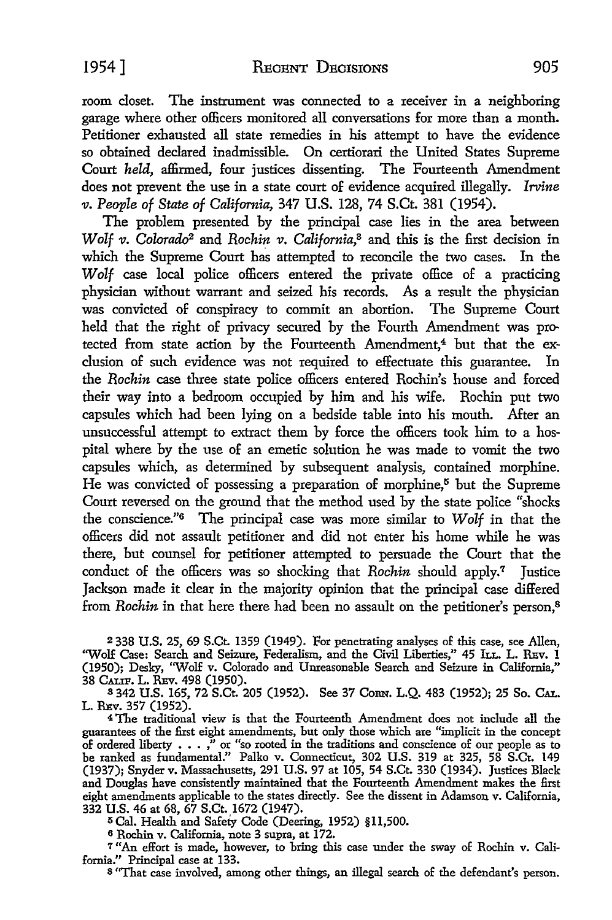room closet. The instrument was connected to a receiver in a neighboring garage where other officers monitored all conversations for more than a month. Petitioner exhausted all state remedies in his attempt to have the evidence so obtained declared inadmissible. On certiorari the United States Supreme Court *held,* affirmed, four justices dissenting. The Fourteenth Amendment does not prevent the use in a state court of evidence acquired illegally. *Irvine*  11. *People of State of California,* 347 U.S. 128, 74 S.Ct. 381 (1954).

The problem presented by the principal case lies in the area between *Wolf v. Colorado<sup>2</sup>* and *Rochin v. California*,<sup>8</sup> and this is the first decision in which the Supreme Court has attempted to reconcile the two cases. In the *Wolf* case local police officers entered the private office of a practicing physician without warrant and seized his records. As a result the physician was convicted of conspiracy to commit an abortion. The Supreme Court held that the right of privacy secured by the Fourth Amendment was protected from state action by the Fourteenth Amendment,<sup>4</sup> but that the exclusion of such evidence was not required to effectuate this guarantee. In the *Rochin* case three state police officers entered Rochin's house and forced their way into a bedroom occupied by him and his wife. Rochin put two capsules which had been lying on a bedside table into his mouth. After an unsuccessful attempt to extract them by force the officers took him to a hospital where by the use of an emetic solution he was made to vomit the two capsules which, as determined by subsequent analysis, contained morphine. He was convicted of possessing a preparation of morphine, $5$  but the Supreme Court reversed on the ground that the method used by the state police "shocks the conscience."6 The principal case was more similar to *Wolf* in that the officers did not assault petitioner and did not enter his home while he was there, but counsel for petitioner attempted to persuade the Court that the conduct of the officers was so shocking that *Rochin* should apply.<sup>7</sup> Justice Jackson made it clear in the majority opinion that the principal case differed from *Rochin* in that here there had been no assault on the petitioner's person.<sup>8</sup>

2 338 U.S. 25, 69 S.Ct. 1359 (1949). For penetrating analyses of this case, see Allen, "Wolf Case: Search and Seizure, Federalism, and the Civil Liberties," 45 ILL. L. REV. 1 (1950); Desky, "Wolf v. Colorado and Unreasonable Search and Seizure in California," 38 CALIF. L. REV. 498 (1950).

s 342 U.S. 165, 72 S.Ct. 205 (1952). See 37 CoRN. L.Q. 483 (1952); 25 So. CAI.. L. REv. 357 (1952).

<sup>4</sup>The traditional view is that the Fourteenth Amendment does not include all the guarantees of the first eight amendments, but only those which are "implicit in the concept of ordered liberty  $\dots$ ," or "so rooted in the traditions and conscience of our people as to be ranked as fundamental." Palko v. Connecticut, 302 U.S. 319 at 325, 58 S.Ct. 149 (1937); Snyder v. Massachusetts, 291 U.S. 97 at 105, 54 S.Ct. 330 (1934). Justices Black and Douglas have consistently maintained that the Fourteenth Amendment makes the first eight amendments applicable to the states directly. See the dissent in Adamson v. California,

<sup>5</sup> Cal. Health and Safety Code (Deering, 1952) §11,500.

<sup>6</sup> Rochin v. California, note 3 supra, at 172.

7 "An effort is made, however, to bring this case under the sway of Rochin v. California." Principal case at 133.<br>8 "That case involved, among other things, an illegal search of the defendant's person.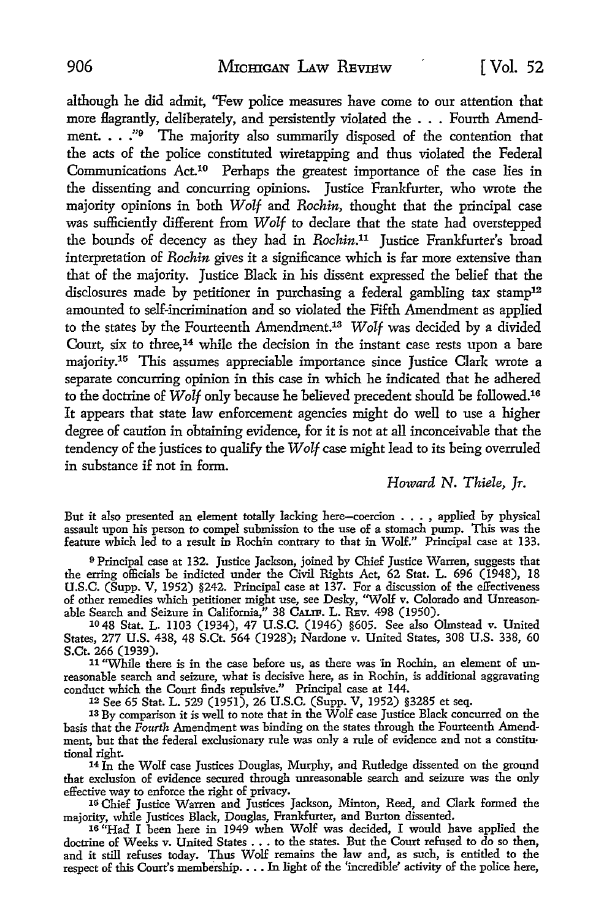although he did admit, "Few police measures have come to our attention that more flagrantly, deliberately, and persistently violated the . . . Fourth Amendment. . . . "9 The majority also summarily disposed of the contention that the acts of the police constituted wiretapping and thus violated the Federal Communications Act.10 Perhaps the greatest importance of the case lies in the dissenting and concurring opinions. Justice Frankfurter, who wrote the majority opinions in both *Wolf* and *Rochin,* thought that the principal case was sufficiently different from *Wolf* to declare that the state had overstepped the bounds of decency as they had in *Rochin.11* Justice Frankfurter's broad interpretation of *Rochin* gives it a significance which is far more extensive than that of the majority. Justice Black in his dissent expressed the belief that the disclosures made by petitioner in purchasing a federal gambling tax stamp<sup>12</sup> amounted to self-incrimination and so violated the Fifth Amendment as applied to the states by the Fourteenth Amendment.13 *Wolf* was decided by a divided Court, six to three,<sup> $14$ </sup> while the decision in the instant case rests upon a bare majority.<sup>15</sup> This assumes appreciable importance since Justice Clark wrote a separate concurring opinion in this case in which he indicated that he adhered to the doctrine of *Wolf* only because he believed precedent should be followed.16 It appears that state law enforcement agencies might do well *to* use a higher degree of caution in obtaining evidence, for it is not at all inconceivable that the tendency of the justices to qualify the *Wolf* case might lead to its being overruled in substance if not in form.

*Howard* N. *Thiele, Jr.* 

But it also presented an element totally lacking here-coercion . • . , applied by physical assault upon his person to compel submission to the use of a stomach pump. This was the feature which led to a result in Rochin contrary to that in Wolf." Principal case at 133.

<sup>9</sup> Principal case at 132. Justice Jackson, joined by Chief Justice Warren, suggests that the erring officials be indicted under the Civil Rights Act, 62 Stat. L. 696 (1948), 18 U.S.C. (Supp. V, 1952) §242. Principal case at 137. For a discussion of the effectiveness of other remedies which petitioner might use, see Desky, 'Wolf v. Colorado and Unreasonable Search and Seizure in California," 38 CALIF. L. REv. 498 (1950).

<sup>10</sup>48 Stat. L. 1103 (1934), 47 U.S.C. (1946) §605. See also Olmstead v. United States, 277 U.S. 438, 48 S.Ct. 564 (1928); Nardone v. United States, 308 U.S. 338, 60 S.Ct. 266 (1939).

11 'While there is in the case before us, as there was 'in Rochin, an element of unreasonable search and seizure, what is decisive here, as in Rochin, is additional aggravating

12 See 65 Stat. L. 529 (1951), 26 U.S.C. (Supp. V, 1952) §3285 et seq.

13 By comparison it is well to note that in the Wolf case Justice Black concurred on the basis that the *Fourth* Amendment was binding on the states through the Fourteenth Amendment, but that the federal exclusionary rule was only a rule of evidence and not a constitu· tional right.

14 In the Wolf case Justices Douglas, Murphy, and Rutledge dissented on the ground that exclusion of evidence secured through unreasonable search and seizure was the only effective way to enforce the right of privacy.<br>15 Chief Justice Warren and Justices Jackson, Minton, Reed, and Clark formed the

majority, while Justices Black, Douglas, Frankfurter, and Burton dissented. 16 "Had I been here in 1949 when Wolf was decided, I would have applied the doctrine of Weeks v. United States . . . to the states. But the Court refused to do so then, and it still refuses today. Thus Wolf remains the law and, as such, is entitled to the respect of this Court's membership .... In light of the 'incredible' activity of the police here,